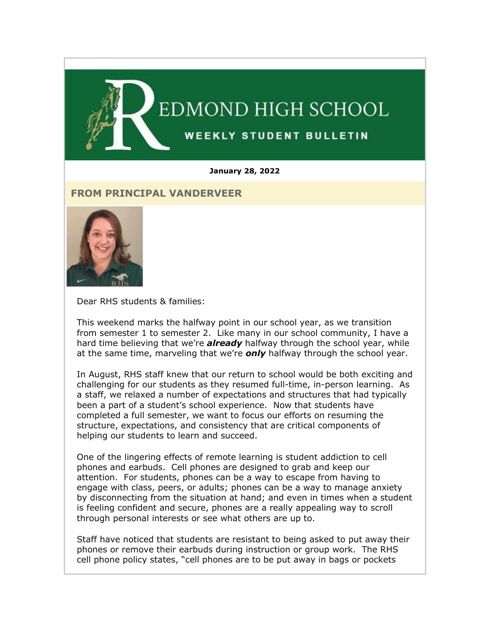

#### **January 28, 2022**

## **FROM PRINCIPAL VANDERVEER**



Dear RHS students & families:

This weekend marks the halfway point in our school year, as we transition from semester 1 to semester 2. Like many in our school community, I have a hard time believing that we're *already* halfway through the school year, while at the same time, marveling that we're *only* halfway through the school year.

In August, RHS staff knew that our return to school would be both exciting and challenging for our students as they resumed full-time, in-person learning. As a staff, we relaxed a number of expectations and structures that had typically been a part of a student's school experience. Now that students have completed a full semester, we want to focus our efforts on resuming the structure, expectations, and consistency that are critical components of helping our students to learn and succeed.

One of the lingering effects of remote learning is student addiction to cell phones and earbuds. Cell phones are designed to grab and keep our attention. For students, phones can be a way to escape from having to engage with class, peers, or adults; phones can be a way to manage anxiety by disconnecting from the situation at hand; and even in times when a student is feeling confident and secure, phones are a really appealing way to scroll through personal interests or see what others are up to.

Staff have noticed that students are resistant to being asked to put away their phones or remove their earbuds during instruction or group work. The RHS cell phone policy states, "cell phones are to be put away in bags or pockets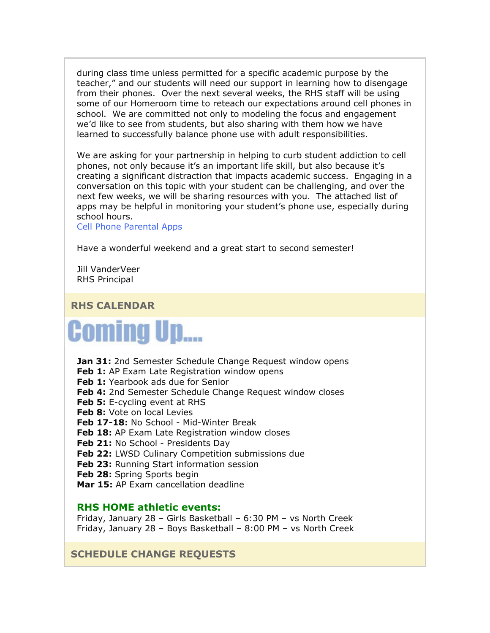during class time unless permitted for a specific academic purpose by the teacher," and our students will need our support in learning how to disengage from their phones. Over the next several weeks, the RHS staff will be using some of our Homeroom time to reteach our expectations around cell phones in school. We are committed not only to modeling the focus and engagement we'd like to see from students, but also sharing with them how we have learned to successfully balance phone use with adult responsibilities.

We are asking for your partnership in helping to curb student addiction to cell phones, not only because it's an important life skill, but also because it's creating a significant distraction that impacts academic success. Engaging in a conversation on this topic with your student can be challenging, and over the next few weeks, we will be sharing resources with you. The attached list of apps may be helpful in monitoring your student's phone use, especially during school hours.

[Cell Phone Parental Apps](https://nam02.safelinks.protection.outlook.com/?url=http%3A%2F%2Flink.email.dynect.net%2Flink.php%3FDynEngagement%3Dtrue%26H%3De%252BlHqQR4V3t5TbxsLRxYoJGv35GfBKviw7YeOfmjq4SZWfxMG%252BVhK%252Fwt32BceZxw4OAAvaaMhSGcdrreUtfS5u4tPP1AL%252BiEaWL0BNsssoZFwkOgUBHIHg%253D%253D%26G%3D0%26R%3Dhttps%253A%252F%252FHTBPGYZTANA.hatchbuck.com%252FTrackLinkClick%253FID2%253D6yFRk571ugNtXEdSQD-MH1O4c8U3f78o6sXsqnF7JRZ__D4Ficm_yzn_aDs_5PBn0%26I%3D20220128235216.00000042aafe%2540smtp-ad2-47-phx%26X%3DMHwxMjY0OTIyOjI0NTM3NDk2OTQ7MXwxMjY0OTIzOjE5MjkyNDA0Mjs%253D%26V%3D3%26S%3DvTheMWkoHUZ-6DiFUFE1aBYUPPbR16jz9Jr_dH3dcss&data=04%7C01%7Cmwood%40lwsd.org%7C952ac8c019f34930a83608d9e2b93778%7C1fd4673fdf9646218638a1d88c4c85d7%7C0%7C0%7C637790107408027705%7CUnknown%7CTWFpbGZsb3d8eyJWIjoiMC4wLjAwMDAiLCJQIjoiV2luMzIiLCJBTiI6Ik1haWwiLCJXVCI6Mn0%3D%7C3000&sdata=Sz35ta4eDmgyA4XedYOhu8UDVfOaFwVPPdHHMJCAvtU%3D&reserved=0)

Have a wonderful weekend and a great start to second semester!

Jill VanderVeer RHS Principal

**RHS CALENDAR**

# **Coming Up....**

**Jan 31:** 2nd Semester Schedule Change Request window opens **Feb 1:** AP Exam Late Registration window opens **Feb 1:** Yearbook ads due for Senior **Feb 4:** 2nd Semester Schedule Change Request window closes **Feb 5:** E-cycling event at RHS **Feb 8:** Vote on local Levies **Feb 17-18:** No School - Mid-Winter Break **Feb 18:** AP Exam Late Registration window closes Feb 21: No School - Presidents Day **Feb 22:** LWSD Culinary Competition submissions due **Feb 23:** Running Start information session **Feb 28:** Spring Sports begin **Mar 15:** AP Exam cancellation deadline

#### **RHS HOME athletic events:**

Friday, January 28 – Girls Basketball – 6:30 PM – vs North Creek Friday, January 28 – Boys Basketball – 8:00 PM – vs North Creek

**SCHEDULE CHANGE REQUESTS**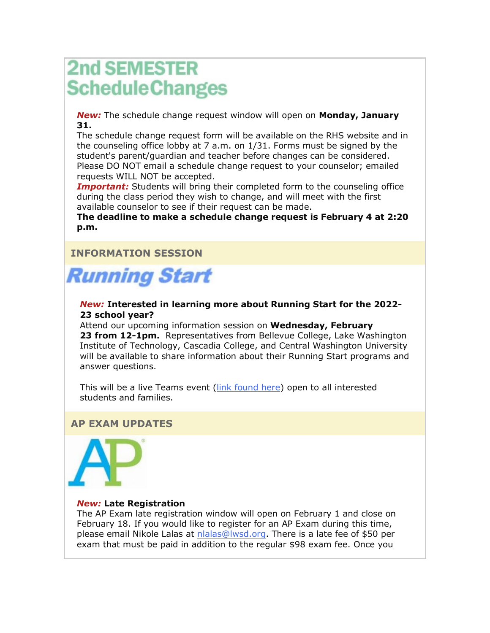# **2nd SEMESTER ScheduleChanges**

*New:* The schedule change request window will open on **Monday, January 31.** 

The schedule change request form will be available on the RHS website and in the counseling office lobby at 7 a.m. on 1/31. Forms must be signed by the student's parent/guardian and teacher before changes can be considered. Please DO NOT email a schedule change request to your counselor; emailed requests WILL NOT be accepted.

**Important:** Students will bring their completed form to the counseling office during the class period they wish to change, and will meet with the first available counselor to see if their request can be made.

**The deadline to make a schedule change request is February 4 at 2:20 p.m.**

# **INFORMATION SESSION**



#### *New:* **Interested in learning more about Running Start for the 2022- 23 school year?**

Attend our upcoming information session on **Wednesday, February 23 from 12-1pm.** Representatives from Bellevue College, Lake Washington Institute of Technology, Cascadia College, and Central Washington University will be available to share information about their Running Start programs and answer questions.

This will be a live Teams event [\(link found here\)](https://nam02.safelinks.protection.outlook.com/?url=http%3A%2F%2Flink.email.dynect.net%2Flink.php%3FDynEngagement%3Dtrue%26H%3De%252BlHqQR4V3t5TbxsLRxYoJGv35GfBKviw7YeOfmjq4SZWfxMG%252BVhK%252Fwt32BceZxw4OAAvaaMhSGcdrreUtfS5u4tPP1AL%252BiEaWL0BNsssoZFwkOgUBHIHg%253D%253D%26G%3D0%26R%3Dhttps%253A%252F%252FHTBPGYZTANA.hatchbuck.com%252FTrackLinkClick%253FID2%253DGs6KE9C_n-imXkos3QjEsR_recNWe0pzx-BawZzoDO86S4zIMucE4eKaFZCBoFqH0%26I%3D20220128235216.00000042aafe%2540smtp-ad2-47-phx%26X%3DMHwxMjY0OTIyOjI0NTM3NDk2OTQ7MXwxMjY0OTIzOjE5MjkyNDA0Mjs%253D%26V%3D3%26S%3DPfNwTQ07sXxbSb2UymMs_qjV5CmrebCTmtbO1-HqNzo&data=04%7C01%7Cmwood%40lwsd.org%7C952ac8c019f34930a83608d9e2b93778%7C1fd4673fdf9646218638a1d88c4c85d7%7C0%7C0%7C637790107408027705%7CUnknown%7CTWFpbGZsb3d8eyJWIjoiMC4wLjAwMDAiLCJQIjoiV2luMzIiLCJBTiI6Ik1haWwiLCJXVCI6Mn0%3D%7C3000&sdata=wbCEf%2BZBa7d3HC46JtdIv%2FhsVvZRUGLkMOJltE41%2B%2Fg%3D&reserved=0) open to all interested students and families.

# **AP EXAM UPDATES**



#### *New:* **Late Registration**

The AP Exam late registration window will open on February 1 and close on February 18. If you would like to register for an AP Exam during this time, please email Nikole Lalas at [nlalas@lwsd.org.](mailto:nlalas@lwsd.org) There is a late fee of \$50 per exam that must be paid in addition to the regular \$98 exam fee. Once you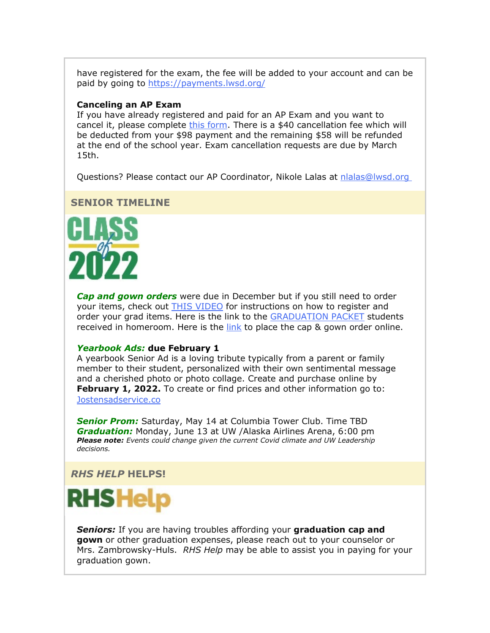have registered for the exam, the fee will be added to your account and can be paid by going to [https://payments.lwsd.org/](https://nam02.safelinks.protection.outlook.com/?url=http%3A%2F%2Flink.email.dynect.net%2Flink.php%3FDynEngagement%3Dtrue%26H%3De%252BlHqQR4V3t5TbxsLRxYoJGv35GfBKviw7YeOfmjq4SZWfxMG%252BVhK%252Fwt32BceZxw4OAAvaaMhSGcdrreUtfS5u4tPP1AL%252BiEaWL0BNsssoZFwkOgUBHIHg%253D%253D%26G%3D0%26R%3Dhttps%253A%252F%252FHTBPGYZTANA.hatchbuck.com%252FTrackLinkClick%253FID2%253D8e0UiEqTvtN9PE8j0qS4Pmh_3g8g4fz2UwtsaWmh1zglIFvSih5xW19xkIC7JA7A0%26I%3D20220128235216.00000042aafe%2540smtp-ad2-47-phx%26X%3DMHwxMjY0OTIyOjI0NTM3NDk2OTQ7MXwxMjY0OTIzOjE5MjkyNDA0Mjs%253D%26V%3D3%26S%3DYo287XuxfMweZlaYdzbD_gNwg2s3raKpiDpLyTykbdQ&data=04%7C01%7Cmwood%40lwsd.org%7C952ac8c019f34930a83608d9e2b93778%7C1fd4673fdf9646218638a1d88c4c85d7%7C0%7C0%7C637790107408027705%7CUnknown%7CTWFpbGZsb3d8eyJWIjoiMC4wLjAwMDAiLCJQIjoiV2luMzIiLCJBTiI6Ik1haWwiLCJXVCI6Mn0%3D%7C3000&sdata=ljSRAVNgoHBvi2D8QtIsFUjus5xWxXZdSPe1wq%2FhUi4%3D&reserved=0)

#### **Canceling an AP Exam**

If you have already registered and paid for an AP Exam and you want to cancel it, please complete [this form.](https://nam02.safelinks.protection.outlook.com/?url=http%3A%2F%2Flink.email.dynect.net%2Flink.php%3FDynEngagement%3Dtrue%26H%3De%252BlHqQR4V3t5TbxsLRxYoJGv35GfBKviw7YeOfmjq4SZWfxMG%252BVhK%252Fwt32BceZxw4OAAvaaMhSGcdrreUtfS5u4tPP1AL%252BiEaWL0BNsssoZFwkOgUBHIHg%253D%253D%26G%3D0%26R%3Dhttps%253A%252F%252FHTBPGYZTANA.hatchbuck.com%252FTrackLinkClick%253FID2%253DA75mFEEATT9X7qzhjKI7PyZRvvbhublHjASDHK4JBVhgjrspJ4EwiPe33qdd1sjs0%26I%3D20220128235216.00000042aafe%2540smtp-ad2-47-phx%26X%3DMHwxMjY0OTIyOjI0NTM3NDk2OTQ7MXwxMjY0OTIzOjE5MjkyNDA0Mjs%253D%26V%3D3%26S%3D-hBtLPv-oKMNeX--1yg7_o9MUxesyUm56exeODBivKU&data=04%7C01%7Cmwood%40lwsd.org%7C952ac8c019f34930a83608d9e2b93778%7C1fd4673fdf9646218638a1d88c4c85d7%7C0%7C0%7C637790107408027705%7CUnknown%7CTWFpbGZsb3d8eyJWIjoiMC4wLjAwMDAiLCJQIjoiV2luMzIiLCJBTiI6Ik1haWwiLCJXVCI6Mn0%3D%7C3000&sdata=r%2F0dcWVASPX36num%2BaJViwL7yOKIcrbYlyYcKg%2Bm25U%3D&reserved=0) There is a \$40 cancellation fee which will be deducted from your \$98 payment and the remaining \$58 will be refunded at the end of the school year. Exam cancellation requests are due by March 15th.

Questions? Please contact our AP Coordinator, Nikole Lalas at [nlalas@lwsd.org](mailto:nlalas@lwsd.org)

## **SENIOR TIMELINE**



*Cap and gown orders* were due in December but if you still need to order your items, check out **[THIS VIDEO](https://nam02.safelinks.protection.outlook.com/?url=http%3A%2F%2Flink.email.dynect.net%2Flink.php%3FDynEngagement%3Dtrue%26H%3De%252BlHqQR4V3t5TbxsLRxYoJGv35GfBKviw7YeOfmjq4SZWfxMG%252BVhK%252Fwt32BceZxw4OAAvaaMhSGcdrreUtfS5u4tPP1AL%252BiEaWL0BNsssoZFwkOgUBHIHg%253D%253D%26G%3D0%26R%3Dhttps%253A%252F%252FHTBPGYZTANA.hatchbuck.com%252FTrackLinkClick%253FID2%253DcwMYwGuZjmRB7_IJDQ_fIvB4_IMMbT_kdPt2XniIaY6xPQFdMI5XFRBQExZZfYC20%26I%3D20220128235216.00000042aafe%2540smtp-ad2-47-phx%26X%3DMHwxMjY0OTIyOjI0NTM3NDk2OTQ7MXwxMjY0OTIzOjE5MjkyNDA0Mjs%253D%26V%3D3%26S%3DETjGARGH_wuRj8cNEYsDOPgzMiNuNRz4dfwGXWUv9QE&data=04%7C01%7Cmwood%40lwsd.org%7C952ac8c019f34930a83608d9e2b93778%7C1fd4673fdf9646218638a1d88c4c85d7%7C0%7C0%7C637790107408027705%7CUnknown%7CTWFpbGZsb3d8eyJWIjoiMC4wLjAwMDAiLCJQIjoiV2luMzIiLCJBTiI6Ik1haWwiLCJXVCI6Mn0%3D%7C3000&sdata=EXju1AUSQDLlZI9Kwdd5Rt%2B8L%2B8ggTSVeWtewGTpbs4%3D&reserved=0)** for instructions on how to register and order your grad items. Here is the link to the [GRADUATION PACKET](https://nam02.safelinks.protection.outlook.com/?url=http%3A%2F%2Flink.email.dynect.net%2Flink.php%3FDynEngagement%3Dtrue%26H%3De%252BlHqQR4V3t5TbxsLRxYoJGv35GfBKviw7YeOfmjq4SZWfxMG%252BVhK%252Fwt32BceZxw4OAAvaaMhSGcdrreUtfS5u4tPP1AL%252BiEaWL0BNsssoZFwkOgUBHIHg%253D%253D%26G%3D0%26R%3Dhttps%253A%252F%252FHTBPGYZTANA.hatchbuck.com%252FTrackLinkClick%253FID2%253DWWQb5QBQ8sIxiLSGWfSH8iC-ozhH1nbU8fThQ2Ihpyvb6lWrhKhTsVbGzfFJSklw0%26I%3D20220128235216.00000042aafe%2540smtp-ad2-47-phx%26X%3DMHwxMjY0OTIyOjI0NTM3NDk2OTQ7MXwxMjY0OTIzOjE5MjkyNDA0Mjs%253D%26V%3D3%26S%3Di6zamTcTnnhE1z1SLvxsYC4q473K8XHxf-Wakn-gTJ4&data=04%7C01%7Cmwood%40lwsd.org%7C952ac8c019f34930a83608d9e2b93778%7C1fd4673fdf9646218638a1d88c4c85d7%7C0%7C0%7C637790107408027705%7CUnknown%7CTWFpbGZsb3d8eyJWIjoiMC4wLjAwMDAiLCJQIjoiV2luMzIiLCJBTiI6Ik1haWwiLCJXVCI6Mn0%3D%7C3000&sdata=oZHzPxQhpl6Tsd%2B%2FjdY%2FrMElgZ2VvbS20sgomjNNF4c%3D&reserved=0) students received in homeroom. Here is the  $link$  to place the cap & gown order online.

#### *Yearbook Ads:* **due February 1**

A yearbook Senior Ad is a loving tribute typically from a parent or family member to their student, personalized with their own sentimental message and a cherished photo or photo collage. Create and purchase online by **February 1, 2022.** To create or find prices and other information go to: [Jostensadservice.co](https://nam02.safelinks.protection.outlook.com/?url=http%3A%2F%2Flink.email.dynect.net%2Flink.php%3FDynEngagement%3Dtrue%26H%3De%252BlHqQR4V3t5TbxsLRxYoJGv35GfBKviw7YeOfmjq4SZWfxMG%252BVhK%252Fwt32BceZxw4OAAvaaMhSGcdrreUtfS5u4tPP1AL%252BiEaWL0BNsssoZFwkOgUBHIHg%253D%253D%26G%3D0%26R%3Dhttps%253A%252F%252FHTBPGYZTANA.hatchbuck.com%252FTrackLinkClick%253FID2%253De3XaHsrPxMR8LGNEsuOOKi6ncX0tf9ABjo0h9jJWzfzIQai3r6V42gZyV3NiT8TM0%26I%3D20220128235216.00000042aafe%2540smtp-ad2-47-phx%26X%3DMHwxMjY0OTIyOjI0NTM3NDk2OTQ7MXwxMjY0OTIzOjE5MjkyNDA0Mjs%253D%26V%3D3%26S%3DflxLvh8h3jVPyNDskHlhlJr2BKrOY3aDDynF5FkVnbQ&data=04%7C01%7Cmwood%40lwsd.org%7C952ac8c019f34930a83608d9e2b93778%7C1fd4673fdf9646218638a1d88c4c85d7%7C0%7C0%7C637790107408027705%7CUnknown%7CTWFpbGZsb3d8eyJWIjoiMC4wLjAwMDAiLCJQIjoiV2luMzIiLCJBTiI6Ik1haWwiLCJXVCI6Mn0%3D%7C3000&sdata=D7%2FfsVumhBu1ccR7Miiy6uTelDADHOzGs0cDHXNRo58%3D&reserved=0)

*Senior Prom:* Saturday, May 14 at Columbia Tower Club. Time TBD *Graduation:* Monday, June 13 at UW /Alaska Airlines Arena, 6:00 pm *Please note: Events could change given the current Covid climate and UW Leadership decisions.* 

#### *RHS HELP* **HELPS!**

# **RHS Help**

*Seniors:* If you are having troubles affording your **graduation cap and gown** or other graduation expenses, please reach out to your counselor or Mrs. Zambrowsky-Huls. *RHS Help* may be able to assist you in paying for your graduation gown.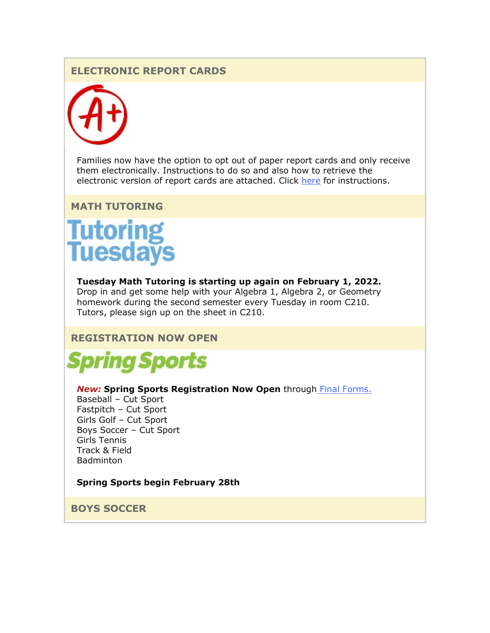# **ELECTRONIC REPORT CARDS**



Families now have the option to opt out of paper report cards and only receive them electronically. Instructions to do so and also how to retrieve the electronic version of report cards are attached. Click [here](https://nam02.safelinks.protection.outlook.com/?url=http%3A%2F%2Flink.email.dynect.net%2Flink.php%3FDynEngagement%3Dtrue%26H%3De%252BlHqQR4V3t5TbxsLRxYoJGv35GfBKviw7YeOfmjq4SZWfxMG%252BVhK%252Fwt32BceZxw4OAAvaaMhSGcdrreUtfS5u4tPP1AL%252BiEaWL0BNsssoZFwkOgUBHIHg%253D%253D%26G%3D0%26R%3Dhttps%253A%252F%252FHTBPGYZTANA.hatchbuck.com%252FTrackLinkClick%253FID2%253DsRed1eBsGQbqk6WukRiJ6cTBVvFm1OIcyfkDLiV74cByFS26qidQZe8lsGfubN5o0%26I%3D20220128235216.00000042aafe%2540smtp-ad2-47-phx%26X%3DMHwxMjY0OTIyOjI0NTM3NDk2OTQ7MXwxMjY0OTIzOjE5MjkyNDA0Mjs%253D%26V%3D3%26S%3DR839X_TdtBo1wYdoE3IxrKZXCm78VzW8efbLhOHFRfs&data=04%7C01%7Cmwood%40lwsd.org%7C952ac8c019f34930a83608d9e2b93778%7C1fd4673fdf9646218638a1d88c4c85d7%7C0%7C0%7C637790107408027705%7CUnknown%7CTWFpbGZsb3d8eyJWIjoiMC4wLjAwMDAiLCJQIjoiV2luMzIiLCJBTiI6Ik1haWwiLCJXVCI6Mn0%3D%7C3000&sdata=V7MCJTonFx7UX4eJu1%2B53Y0LC2XBQjg9AkhdI5tAGgU%3D&reserved=0) for instructions.

# **MATH TUTORING**

# **Tutoring<br>Tuesdays**

**Tuesday Math Tutoring is starting up again on February 1, 2022.** Drop in and get some help with your Algebra 1, Algebra 2, or Geometry homework during the second semester every Tuesday in room C210. Tutors, please sign up on the sheet in C210.

# **REGISTRATION NOW OPEN**



#### *New:* **Spring Sports Registration Now Open** through **Final Forms.**

Baseball – Cut Sport Fastpitch – Cut Sport Girls Golf – Cut Sport Boys Soccer – Cut Sport Girls Tennis Track & Field Badminton

#### **Spring Sports begin February 28th**

**BOYS SOCCER**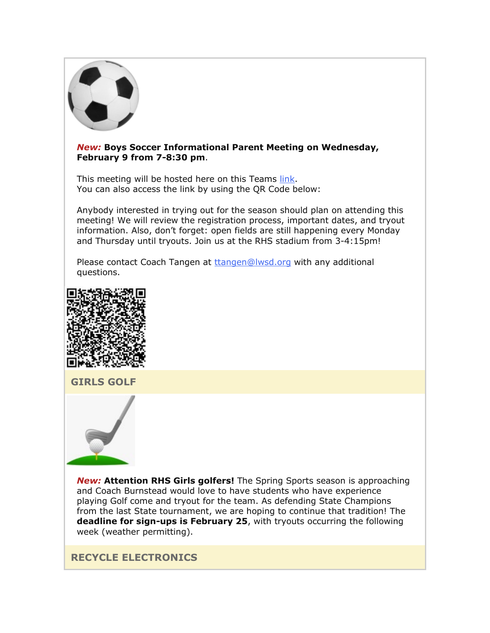

#### *New:* **Boys Soccer Informational Parent Meeting on Wednesday, February 9 from 7-8:30 pm**.

This meeting will be hosted here on this Teams [link.](https://nam02.safelinks.protection.outlook.com/?url=http%3A%2F%2Flink.email.dynect.net%2Flink.php%3FDynEngagement%3Dtrue%26H%3De%252BlHqQR4V3t5TbxsLRxYoJGv35GfBKviw7YeOfmjq4SZWfxMG%252BVhK%252Fwt32BceZxw4OAAvaaMhSGcdrreUtfS5u4tPP1AL%252BiEaWL0BNsssoZFwkOgUBHIHg%253D%253D%26G%3D0%26R%3Dhttps%253A%252F%252FHTBPGYZTANA.hatchbuck.com%252FTrackLinkClick%253FID2%253DFImyRoy8GHoN_zs8R59ppmvN1_ar5ob-2aMpsHimw_FZNnFI7OwffDTvtVR7iTo00%26I%3D20220128235216.00000042aafe%2540smtp-ad2-47-phx%26X%3DMHwxMjY0OTIyOjI0NTM3NDk2OTQ7MXwxMjY0OTIzOjE5MjkyNDA0Mjs%253D%26V%3D3%26S%3DyWu33JX2iVCN6uihG3GsCQeEhrJc5fEQ5VunaK4c7vY&data=04%7C01%7Cmwood%40lwsd.org%7C952ac8c019f34930a83608d9e2b93778%7C1fd4673fdf9646218638a1d88c4c85d7%7C0%7C0%7C637790107408027705%7CUnknown%7CTWFpbGZsb3d8eyJWIjoiMC4wLjAwMDAiLCJQIjoiV2luMzIiLCJBTiI6Ik1haWwiLCJXVCI6Mn0%3D%7C3000&sdata=joVC3t2fraSEefrk84CZPAAJla87BtJaMxnBf0bhk7Y%3D&reserved=0) You can also access the link by using the QR Code below:

Anybody interested in trying out for the season should plan on attending this meeting! We will review the registration process, important dates, and tryout information. Also, don't forget: open fields are still happening every Monday and Thursday until tryouts. Join us at the RHS stadium from 3-4:15pm!

Please contact Coach Tangen at [ttangen@lwsd.org](mailto:ttangen@lwsd.org) with any additional questions.



**GIRLS GOLF**



*New:* **Attention RHS Girls golfers!** The Spring Sports season is approaching and Coach Burnstead would love to have students who have experience playing Golf come and tryout for the team. As defending State Champions from the last State tournament, we are hoping to continue that tradition! The **deadline for sign-ups is February 25**, with tryouts occurring the following week (weather permitting).

**RECYCLE ELECTRONICS**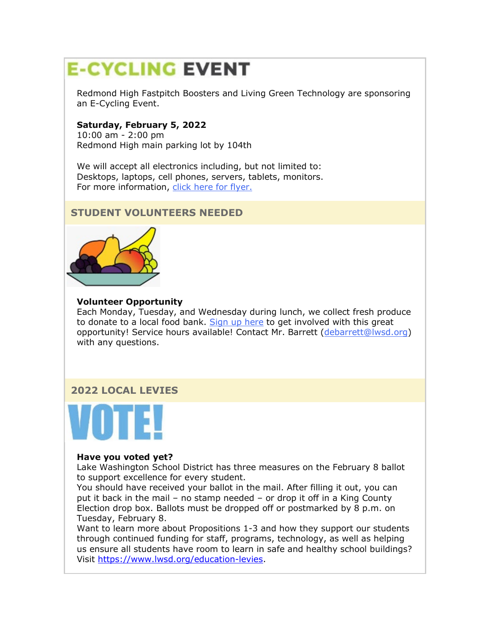# **E-CYCLING EVENT**

Redmond High Fastpitch Boosters and Living Green Technology are sponsoring an E-Cycling Event.

## **Saturday, February 5, 2022**

10:00 am - 2:00 pm Redmond High main parking lot by 104th

We will accept all electronics including, but not limited to: Desktops, laptops, cell phones, servers, tablets, monitors. For more information, [click here for flyer.](https://nam02.safelinks.protection.outlook.com/?url=http%3A%2F%2Flink.email.dynect.net%2Flink.php%3FDynEngagement%3Dtrue%26H%3De%252BlHqQR4V3t5TbxsLRxYoJGv35GfBKviw7YeOfmjq4SZWfxMG%252BVhK%252Fwt32BceZxw4OAAvaaMhSGcdrreUtfS5u4tPP1AL%252BiEaWL0BNsssoZFwkOgUBHIHg%253D%253D%26G%3D0%26R%3Dhttps%253A%252F%252FHTBPGYZTANA.hatchbuck.com%252FTrackLinkClick%253FID2%253DL9fI4xIUzX9p89pjo26dO_OMlhFIpl1qeUxc7Wca4DzWygW2h3CrqQFsSMMGuXrS0%26I%3D20220128235216.00000042aafe%2540smtp-ad2-47-phx%26X%3DMHwxMjY0OTIyOjI0NTM3NDk2OTQ7MXwxMjY0OTIzOjE5MjkyNDA0Mjs%253D%26V%3D3%26S%3DyBD-IYXGXYhicl8hqzMbcutk23dXBjW4WJumk6pI14A&data=04%7C01%7Cmwood%40lwsd.org%7C952ac8c019f34930a83608d9e2b93778%7C1fd4673fdf9646218638a1d88c4c85d7%7C0%7C0%7C637790107408027705%7CUnknown%7CTWFpbGZsb3d8eyJWIjoiMC4wLjAwMDAiLCJQIjoiV2luMzIiLCJBTiI6Ik1haWwiLCJXVCI6Mn0%3D%7C3000&sdata=%2BXj2QhTQlz40J3tC1zSgypNgBAurMPTAZLAdxkGIn9c%3D&reserved=0)

# **STUDENT VOLUNTEERS NEEDED**



#### **Volunteer Opportunity**

Each Monday, Tuesday, and Wednesday during lunch, we collect fresh produce to donate to a local food bank. [Sign up here](https://nam02.safelinks.protection.outlook.com/?url=http%3A%2F%2Flink.email.dynect.net%2Flink.php%3FDynEngagement%3Dtrue%26H%3De%252BlHqQR4V3t5TbxsLRxYoJGv35GfBKviw7YeOfmjq4SZWfxMG%252BVhK%252Fwt32BceZxw4OAAvaaMhSGcdrreUtfS5u4tPP1AL%252BiEaWL0BNsssoZFwkOgUBHIHg%253D%253D%26G%3D0%26R%3Dhttps%253A%252F%252FHTBPGYZTANA.hatchbuck.com%252FTrackLinkClick%253FID2%253DuRsZIohkKMS9P9xY7RtUolx1uT94RNIjDuQcA9oxwJcupLvv5jL8pLYbdHH7IHY80%26I%3D20220128235216.00000042aafe%2540smtp-ad2-47-phx%26X%3DMHwxMjY0OTIyOjI0NTM3NDk2OTQ7MXwxMjY0OTIzOjE5MjkyNDA0Mjs%253D%26V%3D3%26S%3DT-1E79adJq6c3uG5eASU66G_IVw856Sx531enwPt83w&data=04%7C01%7Cmwood%40lwsd.org%7C952ac8c019f34930a83608d9e2b93778%7C1fd4673fdf9646218638a1d88c4c85d7%7C0%7C0%7C637790107408027705%7CUnknown%7CTWFpbGZsb3d8eyJWIjoiMC4wLjAwMDAiLCJQIjoiV2luMzIiLCJBTiI6Ik1haWwiLCJXVCI6Mn0%3D%7C3000&sdata=1O1dA7tcELn6dAMNIMLUU%2FOo80P8SKMkgYDYrNauML8%3D&reserved=0) to get involved with this great opportunity! Service hours available! Contact Mr. Barrett [\(debarrett@lwsd.org\)](mailto:debarrett@lwsd.org) with any questions.

# **2022 LOCAL LEVIES**



#### **Have you voted yet?**

Lake Washington School District has three measures on the February 8 ballot to support excellence for every student.

You should have received your ballot in the mail. After filling it out, you can put it back in the mail – no stamp needed – or drop it off in a King County Election drop box. Ballots must be dropped off or postmarked by 8 p.m. on Tuesday, February 8.

Want to learn more about Propositions 1-3 and how they support our students through continued funding for staff, programs, technology, as well as helping us ensure all students have room to learn in safe and healthy school buildings? Visit [https://www.lwsd.org/education-levies.](https://www.lwsd.org/education-levies)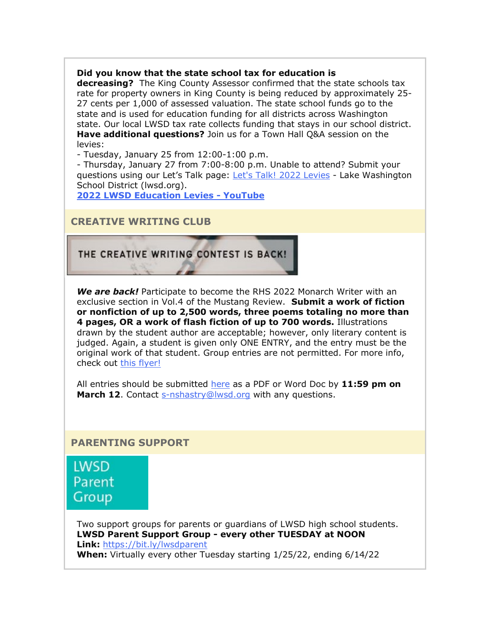#### **Did you know that the state school tax for education is**

**decreasing?** The King County Assessor confirmed that the state schools tax rate for property owners in King County is being reduced by approximately 25- 27 cents per 1,000 of assessed valuation. The state school funds go to the state and is used for education funding for all districts across Washington state. Our local LWSD tax rate collects funding that stays in our school district. **Have additional questions?** Join us for a Town Hall Q&A session on the levies:

- Tuesday, January 25 from 12:00-1:00 p.m.

- Thursday, January 27 from 7:00-8:00 p.m. Unable to attend? Submit your questions using our Let's Talk page: [Let's Talk! 2022 Levies](https://nam02.safelinks.protection.outlook.com/?url=http%3A%2F%2Flink.email.dynect.net%2Flink.php%3FDynEngagement%3Dtrue%26H%3De%252BlHqQR4V3t5TbxsLRxYoJGv35GfBKviw7YeOfmjq4SZWfxMG%252BVhK%252Fwt32BceZxw4OAAvaaMhSGcdrreUtfS5u4tPP1AL%252BiEaWL0BNsssoZFwkOgUBHIHg%253D%253D%26G%3D0%26R%3Dhttps%253A%252F%252FHTBPGYZTANA.hatchbuck.com%252FTrackLinkClick%253FID2%253DZ7kiz-FSRZ92H7iwnGGeHHVW39MoXpF9ijT2AzEC-9W0bVgd7VQyntHLnd_iHkit0%26I%3D20220128235216.00000042aafe%2540smtp-ad2-47-phx%26X%3DMHwxMjY0OTIyOjI0NTM3NDk2OTQ7MXwxMjY0OTIzOjE5MjkyNDA0Mjs%253D%26V%3D3%26S%3DTmLnwYNlotZ3Tylpcy2q87VaCo_09T-N3QeeDRQXW3U&data=04%7C01%7Cmwood%40lwsd.org%7C952ac8c019f34930a83608d9e2b93778%7C1fd4673fdf9646218638a1d88c4c85d7%7C0%7C0%7C637790107408027705%7CUnknown%7CTWFpbGZsb3d8eyJWIjoiMC4wLjAwMDAiLCJQIjoiV2luMzIiLCJBTiI6Ik1haWwiLCJXVCI6Mn0%3D%7C3000&sdata=yU6vljQYuF6OY3UbVhXaaLp%2BLpLmDZg1D33ODA9mFgQ%3D&reserved=0) - Lake Washington School District (lwsd.org).

**[2022 LWSD Education Levies -](https://nam02.safelinks.protection.outlook.com/?url=http%3A%2F%2Flink.email.dynect.net%2Flink.php%3FDynEngagement%3Dtrue%26H%3De%252BlHqQR4V3t5TbxsLRxYoJGv35GfBKviw7YeOfmjq4SZWfxMG%252BVhK%252Fwt32BceZxw4OAAvaaMhSGcdrreUtfS5u4tPP1AL%252BiEaWL0BNsssoZFwkOgUBHIHg%253D%253D%26G%3D0%26R%3Dhttps%253A%252F%252FHTBPGYZTANA.hatchbuck.com%252FTrackLinkClick%253FID2%253DNYU7ASOCeQ4uF_EbovKcusRrQptpdHlj1EZMt_LIcw0cCj0tQu3VamPN68geFuv70%26I%3D20220128235216.00000042aafe%2540smtp-ad2-47-phx%26X%3DMHwxMjY0OTIyOjI0NTM3NDk2OTQ7MXwxMjY0OTIzOjE5MjkyNDA0Mjs%253D%26V%3D3%26S%3D-RhHZMltcdqff9rPksfAVkYkUb0k1rb2rObVLV0B0jk&data=04%7C01%7Cmwood%40lwsd.org%7C952ac8c019f34930a83608d9e2b93778%7C1fd4673fdf9646218638a1d88c4c85d7%7C0%7C0%7C637790107408027705%7CUnknown%7CTWFpbGZsb3d8eyJWIjoiMC4wLjAwMDAiLCJQIjoiV2luMzIiLCJBTiI6Ik1haWwiLCJXVCI6Mn0%3D%7C3000&sdata=yGe8j4xX9Ni3FxJ6I63FItqXO3INGXJBs%2B43giQoIvA%3D&reserved=0) YouTube**

# **CREATIVE WRITING CLUB**

# THE CREATIVE WRITING CONTEST IS BACK!

*We are back!* Participate to become the RHS 2022 Monarch Writer with an exclusive section in Vol.4 of the Mustang Review. **Submit a work of fiction or nonfiction of up to 2,500 words, three poems totaling no more than 4 pages, OR a work of flash fiction of up to 700 words.** Illustrations drawn by the student author are acceptable; however, only literary content is judged. Again, a student is given only ONE ENTRY, and the entry must be the original work of that student. Group entries are not permitted. For more info, check out [this flyer!](https://nam02.safelinks.protection.outlook.com/?url=http%3A%2F%2Flink.email.dynect.net%2Flink.php%3FDynEngagement%3Dtrue%26H%3De%252BlHqQR4V3t5TbxsLRxYoJGv35GfBKviw7YeOfmjq4SZWfxMG%252BVhK%252Fwt32BceZxw4OAAvaaMhSGcdrreUtfS5u4tPP1AL%252BiEaWL0BNsssoZFwkOgUBHIHg%253D%253D%26G%3D0%26R%3Dhttps%253A%252F%252FHTBPGYZTANA.hatchbuck.com%252FTrackLinkClick%253FID2%253DwOH_UHDf3x9IWs2HKrr90zqJfZ5np5RhsUO76snhrjl3EhvxsgR53mrfcgYTfFv10%26I%3D20220128235216.00000042aafe%2540smtp-ad2-47-phx%26X%3DMHwxMjY0OTIyOjI0NTM3NDk2OTQ7MXwxMjY0OTIzOjE5MjkyNDA0Mjs%253D%26V%3D3%26S%3DEYuB750yDtUG6O_JboRrXp1PUJ_EkQlQiU6bTwaJIJk&data=04%7C01%7Cmwood%40lwsd.org%7C952ac8c019f34930a83608d9e2b93778%7C1fd4673fdf9646218638a1d88c4c85d7%7C0%7C0%7C637790107408027705%7CUnknown%7CTWFpbGZsb3d8eyJWIjoiMC4wLjAwMDAiLCJQIjoiV2luMzIiLCJBTiI6Ik1haWwiLCJXVCI6Mn0%3D%7C3000&sdata=OYeRWmG2YvMtXiw4kZS259B7EybeIg6sSe2jSqfFE7M%3D&reserved=0)

All entries should be submitted [here](https://nam02.safelinks.protection.outlook.com/?url=http%3A%2F%2Flink.email.dynect.net%2Flink.php%3FDynEngagement%3Dtrue%26H%3De%252BlHqQR4V3t5TbxsLRxYoJGv35GfBKviw7YeOfmjq4SZWfxMG%252BVhK%252Fwt32BceZxw4OAAvaaMhSGcdrreUtfS5u4tPP1AL%252BiEaWL0BNsssoZFwkOgUBHIHg%253D%253D%26G%3D0%26R%3Dhttps%253A%252F%252FHTBPGYZTANA.hatchbuck.com%252FTrackLinkClick%253FID2%253DmZmUE0d6c29T8PVqjvkU3DUhi-uKDXH8AjTF1HqNmyk3Jdms5w8pRffSF6BTOtXa0%26I%3D20220128235216.00000042aafe%2540smtp-ad2-47-phx%26X%3DMHwxMjY0OTIyOjI0NTM3NDk2OTQ7MXwxMjY0OTIzOjE5MjkyNDA0Mjs%253D%26V%3D3%26S%3DCbkrOeePNeF58XkCrNJiMkK-QtAnTNus-APlgtXsyjI&data=04%7C01%7Cmwood%40lwsd.org%7C952ac8c019f34930a83608d9e2b93778%7C1fd4673fdf9646218638a1d88c4c85d7%7C0%7C0%7C637790107408027705%7CUnknown%7CTWFpbGZsb3d8eyJWIjoiMC4wLjAwMDAiLCJQIjoiV2luMzIiLCJBTiI6Ik1haWwiLCJXVCI6Mn0%3D%7C3000&sdata=%2BrXIkWydmMZOAO1n9bO9h8dI7t8oUD%2BBTK1nup%2BS4fY%3D&reserved=0) as a PDF or Word Doc by **11:59 pm on March 12.** Contact [s-nshastry@lwsd.org](mailto:s-nshastry@lwsd.org) with any questions.

#### **PARENTING SUPPORT**

**LWSD** Parent Group

Two support groups for parents or guardians of LWSD high school students. **LWSD Parent Support Group - every other TUESDAY at NOON Link:** [https://bit.ly/lwsdparent](https://nam02.safelinks.protection.outlook.com/?url=http%3A%2F%2Flink.email.dynect.net%2Flink.php%3FDynEngagement%3Dtrue%26H%3De%252BlHqQR4V3t5TbxsLRxYoJGv35GfBKviw7YeOfmjq4SZWfxMG%252BVhK%252Fwt32BceZxw4OAAvaaMhSGcdrreUtfS5u4tPP1AL%252BiEaWL0BNsssoZFwkOgUBHIHg%253D%253D%26G%3D0%26R%3Dhttps%253A%252F%252FHTBPGYZTANA.hatchbuck.com%252FTrackLinkClick%253FID2%253DAnVjbJVKnAvK9Wv-OulNBGxZOGbio68tHdfxJbW1_0B4f4jdGUiF9moP7AY2omVI0%26I%3D20220128235216.00000042aafe%2540smtp-ad2-47-phx%26X%3DMHwxMjY0OTIyOjI0NTM3NDk2OTQ7MXwxMjY0OTIzOjE5MjkyNDA0Mjs%253D%26V%3D3%26S%3DNYy0doaHWE4bRXv66_xNWN_OQYfp3H6FxL5SfSSbqKE&data=04%7C01%7Cmwood%40lwsd.org%7C952ac8c019f34930a83608d9e2b93778%7C1fd4673fdf9646218638a1d88c4c85d7%7C0%7C0%7C637790107408027705%7CUnknown%7CTWFpbGZsb3d8eyJWIjoiMC4wLjAwMDAiLCJQIjoiV2luMzIiLCJBTiI6Ik1haWwiLCJXVCI6Mn0%3D%7C3000&sdata=6odYjznwPyLBrPGN7nnXMTzo%2BVbZDCz1JxchXtu%2FYtU%3D&reserved=0) **When:** Virtually every other Tuesday starting 1/25/22, ending 6/14/22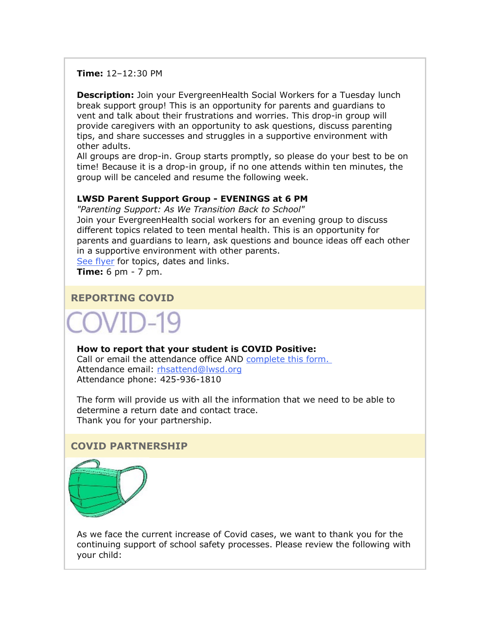**Time:** 12–12:30 PM

**Description:** Join your EvergreenHealth Social Workers for a Tuesday lunch break support group! This is an opportunity for parents and guardians to vent and talk about their frustrations and worries. This drop-in group will provide caregivers with an opportunity to ask questions, discuss parenting tips, and share successes and struggles in a supportive environment with other adults.

All groups are drop-in. Group starts promptly, so please do your best to be on time! Because it is a drop-in group, if no one attends within ten minutes, the group will be canceled and resume the following week.

#### **LWSD Parent Support Group - EVENINGS at 6 PM**

*"Parenting Support: As We Transition Back to School"* Join your EvergreenHealth social workers for an evening group to discuss different topics related to teen mental health. This is an opportunity for parents and guardians to learn, ask questions and bounce ideas off each other in a supportive environment with other parents.

[See flyer](https://nam02.safelinks.protection.outlook.com/?url=http%3A%2F%2Flink.email.dynect.net%2Flink.php%3FDynEngagement%3Dtrue%26H%3De%252BlHqQR4V3t5TbxsLRxYoJGv35GfBKviw7YeOfmjq4SZWfxMG%252BVhK%252Fwt32BceZxw4OAAvaaMhSGcdrreUtfS5u4tPP1AL%252BiEaWL0BNsssoZFwkOgUBHIHg%253D%253D%26G%3D0%26R%3Dhttps%253A%252F%252FHTBPGYZTANA.hatchbuck.com%252FTrackLinkClick%253FID2%253DdqotbQlkx1lxXpd9_7DPlqHwIuKUK4lmpWkmyBkXJe-ch6t5lbeDo1ecY12d1WfY0%26I%3D20220128235216.00000042aafe%2540smtp-ad2-47-phx%26X%3DMHwxMjY0OTIyOjI0NTM3NDk2OTQ7MXwxMjY0OTIzOjE5MjkyNDA0Mjs%253D%26V%3D3%26S%3DDwqoFFvqASzBRNMv_g40i4pskcE6CyU3XU_1KiMF4YY&data=04%7C01%7Cmwood%40lwsd.org%7C952ac8c019f34930a83608d9e2b93778%7C1fd4673fdf9646218638a1d88c4c85d7%7C0%7C0%7C637790107408027705%7CUnknown%7CTWFpbGZsb3d8eyJWIjoiMC4wLjAwMDAiLCJQIjoiV2luMzIiLCJBTiI6Ik1haWwiLCJXVCI6Mn0%3D%7C3000&sdata=NMG4eTV4TSBl3qgmag7zvG%2BPrnRSkbfkWwcg3CrkvbQ%3D&reserved=0) for topics, dates and links.

**Time:** 6 pm - 7 pm.

#### **REPORTING COVID**

#### **How to report that your student is COVID Positive:**

Call or email the attendance office AND [complete this form](https://nam02.safelinks.protection.outlook.com/?url=http%3A%2F%2Flink.email.dynect.net%2Flink.php%3FDynEngagement%3Dtrue%26H%3De%252BlHqQR4V3t5TbxsLRxYoJGv35GfBKviw7YeOfmjq4SZWfxMG%252BVhK%252Fwt32BceZxw4OAAvaaMhSGcdrreUtfS5u4tPP1AL%252BiEaWL0BNsssoZFwkOgUBHIHg%253D%253D%26G%3D0%26R%3Dhttps%253A%252F%252FHTBPGYZTANA.hatchbuck.com%252FTrackLinkClick%253FID2%253D4kGu7xVYjnps6Pi5PNaDsvrhABLJ2FDVDUhnc2it5kF4cc4_6J4Mzo1MZNl4gaqP0%26I%3D20220128235216.00000042aafe%2540smtp-ad2-47-phx%26X%3DMHwxMjY0OTIyOjI0NTM3NDk2OTQ7MXwxMjY0OTIzOjE5MjkyNDA0Mjs%253D%26V%3D3%26S%3DEtwnFNWC9LMZ9UtFc38RbEPoVwXe1soquP72z9jQyz8&data=04%7C01%7Cmwood%40lwsd.org%7C952ac8c019f34930a83608d9e2b93778%7C1fd4673fdf9646218638a1d88c4c85d7%7C0%7C0%7C637790107408183946%7CUnknown%7CTWFpbGZsb3d8eyJWIjoiMC4wLjAwMDAiLCJQIjoiV2luMzIiLCJBTiI6Ik1haWwiLCJXVCI6Mn0%3D%7C3000&sdata=dJkD302WmLrnVshB3QSAic6nlnmFK4xnxNWDlBEgNh4%3D&reserved=0)[.](https://nam02.safelinks.protection.outlook.com/?url=http%3A%2F%2Flink.email.dynect.net%2Flink.php%3FDynEngagement%3Dtrue%26H%3De%252BlHqQR4V3t5TbxsLRxYoJGv35GfBKviw7YeOfmjq4SZWfxMG%252BVhK%252Fwt32BceZxw4OAAvaaMhSGcdrreUtfS5u4tPP1AL%252BiEaWL0BNsssoZFwkOgUBHIHg%253D%253D%26G%3D0%26R%3Dhttps%253A%252F%252FHTBPGYZTANA.hatchbuck.com%252FTrackLinkClick%253FID2%253DoG7J_EFAwQTOnrkXQrk6NOtTs5HzpBHnioL3gYD36x_FCesMMQRBHvI6_vsccr7_0%26I%3D20220128235216.00000042aafe%2540smtp-ad2-47-phx%26X%3DMHwxMjY0OTIyOjI0NTM3NDk2OTQ7MXwxMjY0OTIzOjE5MjkyNDA0Mjs%253D%26V%3D3%26S%3DxIP3ZPAQDmH3p3qf__Kad4pcFEuBw201YYeZVQSLwAo&data=04%7C01%7Cmwood%40lwsd.org%7C952ac8c019f34930a83608d9e2b93778%7C1fd4673fdf9646218638a1d88c4c85d7%7C0%7C0%7C637790107408183946%7CUnknown%7CTWFpbGZsb3d8eyJWIjoiMC4wLjAwMDAiLCJQIjoiV2luMzIiLCJBTiI6Ik1haWwiLCJXVCI6Mn0%3D%7C3000&sdata=4pbueUr7SeR%2BKWgGtp5Q623onvl%2FjDDe1iHtQStk9tw%3D&reserved=0) Attendance email: [rhsattend@lwsd.org](mailto:rhsattend@lwsd.org) Attendance phone: 425-936-1810

The form will provide us with all the information that we need to be able to determine a return date and contact trace. Thank you for your partnership.

#### **COVID PARTNERSHIP**



As we face the current increase of Covid cases, we want to thank you for the continuing support of school safety processes. Please review the following with your child: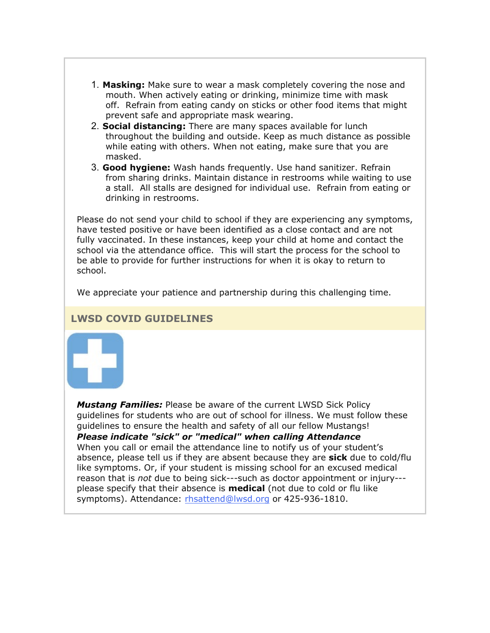- 1. **Masking:** Make sure to wear a mask completely covering the nose and mouth. When actively eating or drinking, minimize time with mask off. Refrain from eating candy on sticks or other food items that might prevent safe and appropriate mask wearing.
- 2. **Social distancing:** There are many spaces available for lunch throughout the building and outside. Keep as much distance as possible while eating with others. When not eating, make sure that you are masked.
- 3. **Good hygiene:** Wash hands frequently. Use hand sanitizer. Refrain from sharing drinks. Maintain distance in restrooms while waiting to use a stall. All stalls are designed for individual use. Refrain from eating or drinking in restrooms.

Please do not send your child to school if they are experiencing any symptoms, have tested positive or have been identified as a close contact and are not fully vaccinated. In these instances, keep your child at home and contact the school via the attendance office. This will start the process for the school to be able to provide for further instructions for when it is okay to return to school.

We appreciate your patience and partnership during this challenging time.

# **LWSD COVID GUIDELINES**



*Mustang Families:* Please be aware of the current LWSD Sick Policy guidelines for students who are out of school for illness. We must follow these guidelines to ensure the health and safety of all our fellow Mustangs! *Please indicate "sick" or "medical" when calling Attendance* When you call or email the attendance line to notify us of your student's absence, please tell us if they are absent because they are **sick** due to cold/flu like symptoms. Or, if your student is missing school for an excused medical reason that is *not* due to being sick---such as doctor appointment or injury-- please specify that their absence is **medical** (not due to cold or flu like symptoms). Attendance: [rhsattend@lwsd.org](mailto:rhsattend@lwsd.org) or 425-936-1810.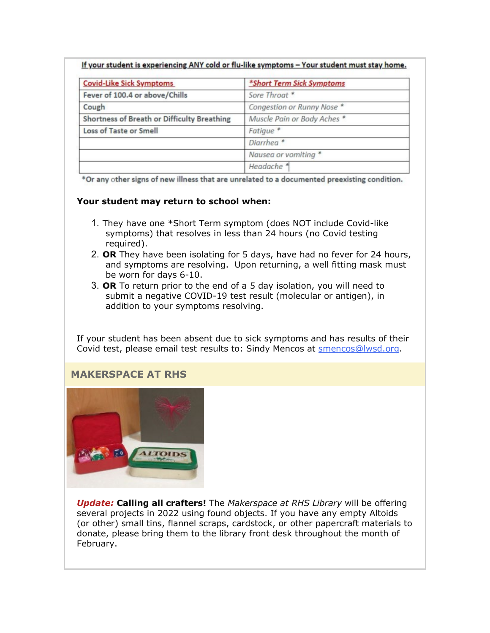|  | If your student is experiencing ANY cold or flu-like symptoms - Your student must stay home. |  |
|--|----------------------------------------------------------------------------------------------|--|
|--|----------------------------------------------------------------------------------------------|--|

| <b>Covid-Like Sick Symptoms</b>             | *Short Term Sick Symptoms   |
|---------------------------------------------|-----------------------------|
| Fever of 100.4 or above/Chills              | Sore Throat *               |
| Cough                                       | Congestion or Runny Nose *  |
| Shortness of Breath or Difficulty Breathing | Muscle Pain or Body Aches * |
| Loss of Taste or Smell                      | Fatigue <sup>*</sup>        |
|                                             | Diarrhea <sup>*</sup>       |
|                                             | Nausea or vomiting *        |
|                                             | Headache <sup>*</sup>       |

\*Or any other signs of new illness that are unrelated to a documented preexisting condition.

#### **Your student may return to school when:**

- 1. They have one \*Short Term symptom (does NOT include Covid-like symptoms) that resolves in less than 24 hours (no Covid testing required).
- 2. **OR** They have been isolating for 5 days, have had no fever for 24 hours, and symptoms are resolving. Upon returning, a well fitting mask must be worn for days 6-10.
- 3. **OR** To return prior to the end of a 5 day isolation, you will need to submit a negative COVID-19 test result (molecular or antigen), in addition to your symptoms resolving.

If your student has been absent due to sick symptoms and has results of their Covid test, please email test results to: Sindy Mencos at [smencos@lwsd.org.](mailto:smencos@lwsd.org)

# **MAKERSPACE AT RHS**



*Update:* **Calling all crafters!** The *Makerspace at RHS Library* will be offering several projects in 2022 using found objects. If you have any empty Altoids (or other) small tins, flannel scraps, cardstock, or other papercraft materials to donate, please bring them to the library front desk throughout the month of February.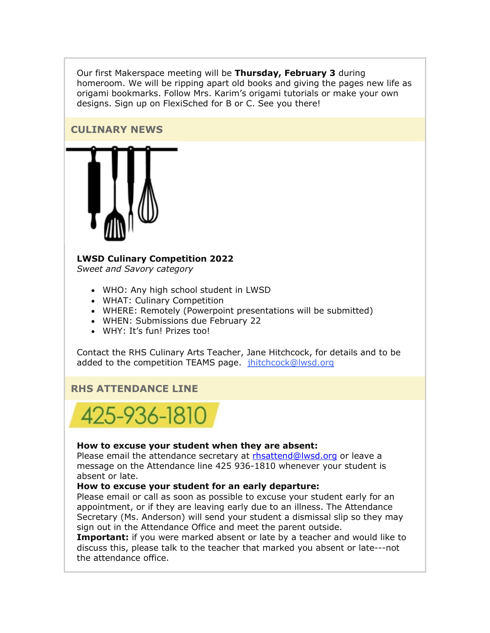Our first Makerspace meeting will be **Thursday, February 3** during homeroom. We will be ripping apart old books and giving the pages new life as origami bookmarks. Follow Mrs. Karim's origami tutorials or make your own designs. Sign up on FlexiSched for B or C. See you there!

## **CULINARY NEWS**



# **LWSD Culinary Competition 2022**

*Sweet and Savory category*

- WHO: Any high school student in LWSD
- WHAT: Culinary Competition
- WHERE: Remotely (Powerpoint presentations will be submitted)
- WHEN: Submissions due February 22
- WHY: It's fun! Prizes too!

Contact the RHS Culinary Arts Teacher, Jane Hitchcock, for details and to be added to the competition TEAMS page. [jhitchcock@lwsd.org](mailto:jhitchcock@lwsd.org)

# **RHS ATTENDANCE LINE**



#### **How to excuse your student when they are absent:**

Please email the attendance secretary at [rhsattend@lwsd.org](mailto:rhsattend@lwsd.org) or leave a message on the Attendance line 425 936-1810 whenever your student is absent or late.

#### **How to excuse your student for an early departure:**

Please email or call as soon as possible to excuse your student early for an appointment, or if they are leaving early due to an illness. The Attendance Secretary (Ms. Anderson) will send your student a dismissal slip so they may sign out in the Attendance Office and meet the parent outside.

**Important:** if you were marked absent or late by a teacher and would like to discuss this, please talk to the teacher that marked you absent or late---not the attendance office.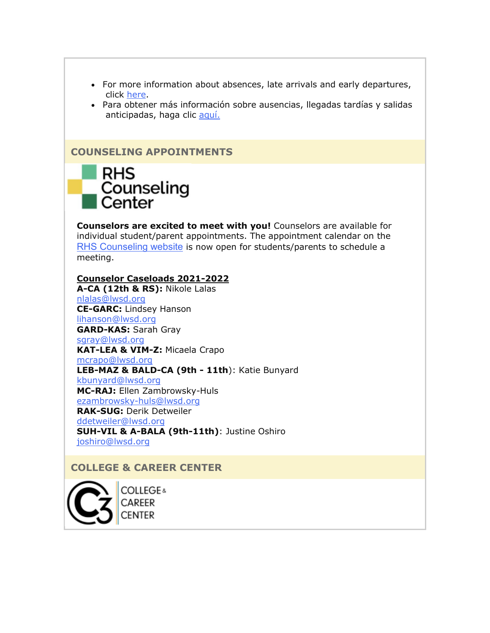- For more information about absences, late arrivals and early departures, click [here.](https://nam02.safelinks.protection.outlook.com/?url=http%3A%2F%2Flink.email.dynect.net%2Flink.php%3FDynEngagement%3Dtrue%26H%3De%252BlHqQR4V3t5TbxsLRxYoJGv35GfBKviw7YeOfmjq4SZWfxMG%252BVhK%252Fwt32BceZxw4OAAvaaMhSGcdrreUtfS5u4tPP1AL%252BiEaWL0BNsssoZFwkOgUBHIHg%253D%253D%26G%3D0%26R%3Dhttps%253A%252F%252FHTBPGYZTANA.hatchbuck.com%252FTrackLinkClick%253FID2%253DE7nHMtpty15lYHgjaIaacs6JpHh81mMbu2ZfQujyPUHC3SH9vVO3oW0N56OPB5-10%26I%3D20220128235216.00000042aafe%2540smtp-ad2-47-phx%26X%3DMHwxMjY0OTIyOjI0NTM3NDk2OTQ7MXwxMjY0OTIzOjE5MjkyNDA0Mjs%253D%26V%3D3%26S%3De4pw-UdxFl54wmCCCXc5fpR_nSV1UdtRDmsm1AAriYY&data=04%7C01%7Cmwood%40lwsd.org%7C952ac8c019f34930a83608d9e2b93778%7C1fd4673fdf9646218638a1d88c4c85d7%7C0%7C0%7C637790107408183946%7CUnknown%7CTWFpbGZsb3d8eyJWIjoiMC4wLjAwMDAiLCJQIjoiV2luMzIiLCJBTiI6Ik1haWwiLCJXVCI6Mn0%3D%7C3000&sdata=sfQSHvBnnzdZhITQrr6V4Q%2BG8itsTcfBlR%2F1ihysUNc%3D&reserved=0)
- Para obtener más información sobre ausencias, llegadas tardías y salidas anticipadas, haga clic [aquí.](https://nam02.safelinks.protection.outlook.com/?url=http%3A%2F%2Flink.email.dynect.net%2Flink.php%3FDynEngagement%3Dtrue%26H%3De%252BlHqQR4V3t5TbxsLRxYoJGv35GfBKviw7YeOfmjq4SZWfxMG%252BVhK%252Fwt32BceZxw4OAAvaaMhSGcdrreUtfS5u4tPP1AL%252BiEaWL0BNsssoZFwkOgUBHIHg%253D%253D%26G%3D0%26R%3Dhttps%253A%252F%252FHTBPGYZTANA.hatchbuck.com%252FTrackLinkClick%253FID2%253Dxyr43qT8x_rUb8JWp0diJy2V_jChIvPA2j0V6rha7HEMvQxPEEKaxfuv-iCIyuIW0%26I%3D20220128235216.00000042aafe%2540smtp-ad2-47-phx%26X%3DMHwxMjY0OTIyOjI0NTM3NDk2OTQ7MXwxMjY0OTIzOjE5MjkyNDA0Mjs%253D%26V%3D3%26S%3D4dGQB9gBQOKfw5ZSnPBI_kSiZAu2WRX2RVW1v5TGkhQ&data=04%7C01%7Cmwood%40lwsd.org%7C952ac8c019f34930a83608d9e2b93778%7C1fd4673fdf9646218638a1d88c4c85d7%7C0%7C0%7C637790107408183946%7CUnknown%7CTWFpbGZsb3d8eyJWIjoiMC4wLjAwMDAiLCJQIjoiV2luMzIiLCJBTiI6Ik1haWwiLCJXVCI6Mn0%3D%7C3000&sdata=u8k4Z0tNAADVA82hBj51eURvFLJW276A6AD8FJ5J98M%3D&reserved=0)

## **COUNSELING APPOINTMENTS**



**Counselors are excited to meet with you!** Counselors are available for individual student/parent appointments. The appointment calendar on the [RHS Counseling website](https://nam02.safelinks.protection.outlook.com/?url=http%3A%2F%2Flink.email.dynect.net%2Flink.php%3FDynEngagement%3Dtrue%26H%3De%252BlHqQR4V3t5TbxsLRxYoJGv35GfBKviw7YeOfmjq4SZWfxMG%252BVhK%252Fwt32BceZxw4OAAvaaMhSGcdrreUtfS5u4tPP1AL%252BiEaWL0BNsssoZFwkOgUBHIHg%253D%253D%26G%3D0%26R%3Dhttps%253A%252F%252FHTBPGYZTANA.hatchbuck.com%252FTrackLinkClick%253FID2%253D5uJCrs9BoRfJ9IUic7FVex4Gqfj2uJp7E-BnNKandyWt1EFMnAW6h3kPWaw0YSRh0%26I%3D20220128235216.00000042aafe%2540smtp-ad2-47-phx%26X%3DMHwxMjY0OTIyOjI0NTM3NDk2OTQ7MXwxMjY0OTIzOjE5MjkyNDA0Mjs%253D%26V%3D3%26S%3DHSE9-_yqPdz1jDFb74GMXRQCMMFDbnlyPH1fweRAPCo&data=04%7C01%7Cmwood%40lwsd.org%7C952ac8c019f34930a83608d9e2b93778%7C1fd4673fdf9646218638a1d88c4c85d7%7C0%7C0%7C637790107408183946%7CUnknown%7CTWFpbGZsb3d8eyJWIjoiMC4wLjAwMDAiLCJQIjoiV2luMzIiLCJBTiI6Ik1haWwiLCJXVCI6Mn0%3D%7C3000&sdata=L2Y%2BWsKdyDnuHvREvfjC5oFZjBKvfWd6kypBGsUrvng%3D&reserved=0) is now open for students/parents to schedule a meeting.

#### **Counselor Caseloads 2021-2022**

**A-CA (12th & RS):** Nikole Lalas [nlalas@lwsd.org](mailto:nlalas@lwsd.org) **CE-GARC:** Lindsey Hanson [lihanson@lwsd.org](mailto:lihanson@lwsd.org) **GARD-KAS:** Sarah Gray [sgray@lwsd.org](mailto:sgray@lwsd.org) **KAT-LEA & VIM-Z:** Micaela Crapo [mcrapo@lwsd.org](mailto:mcrapo@lwsd.org) **LEB-MAZ & BALD-CA (9th - 11th**): Katie Bunyard [kbunyard@lwsd.org](mailto:Kbunyard@lwsd.org) **MC-RAJ:** Ellen Zambrowsky-Huls [ezambrowsky-huls@lwsd.org](mailto:Ezambrowsky-huls@lwsd.org) **RAK-SUG:** Derik Detweiler [ddetweiler@lwsd.org](mailto:ddetweiler@lwsd.org) **SUH-VIL & A-BALA (9th-11th)**: Justine Oshiro [joshiro@lwsd.org](mailto:joshiro@lwsd.org)

# **COLLEGE & CAREER CENTER**



**COLLEGE**& CAREER CENTER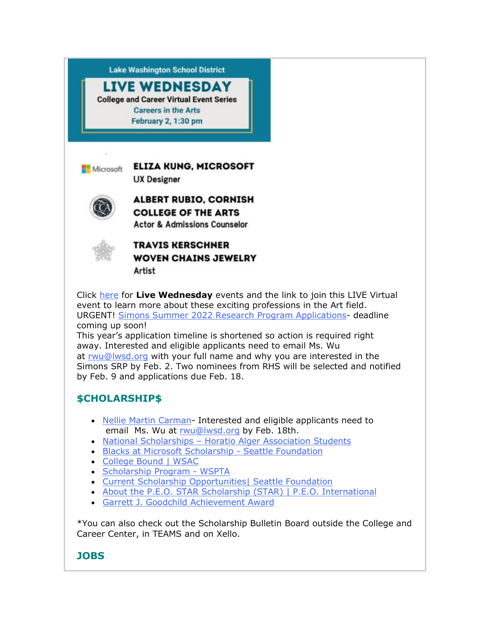

Artist

Click [here](https://nam02.safelinks.protection.outlook.com/?url=http%3A%2F%2Flink.email.dynect.net%2Flink.php%3FDynEngagement%3Dtrue%26H%3De%252BlHqQR4V3t5TbxsLRxYoJGv35GfBKviw7YeOfmjq4SZWfxMG%252BVhK%252Fwt32BceZxw4OAAvaaMhSGcdrreUtfS5u4tPP1AL%252BiEaWL0BNsssoZFwkOgUBHIHg%253D%253D%26G%3D0%26R%3Dhttps%253A%252F%252FHTBPGYZTANA.hatchbuck.com%252FTrackLinkClick%253FID2%253DXCnYwNkp9hmxA03h_KH13-ej5m3jXXfDJs0q_OaudF7aoUE-v96E4qHKV2MzcpKY0%26I%3D20220128235216.00000042aafe%2540smtp-ad2-47-phx%26X%3DMHwxMjY0OTIyOjI0NTM3NDk2OTQ7MXwxMjY0OTIzOjE5MjkyNDA0Mjs%253D%26V%3D3%26S%3DqmF9fVWQjIkdATKbgtIXzXb8d_ERfzBLRcN-xtiu_3w&data=04%7C01%7Cmwood%40lwsd.org%7C952ac8c019f34930a83608d9e2b93778%7C1fd4673fdf9646218638a1d88c4c85d7%7C0%7C0%7C637790107408183946%7CUnknown%7CTWFpbGZsb3d8eyJWIjoiMC4wLjAwMDAiLCJQIjoiV2luMzIiLCJBTiI6Ik1haWwiLCJXVCI6Mn0%3D%7C3000&sdata=9pu%2FsEgjx8qI%2BfhiqDjzQ1dDtWHUe%2FWZTNiYzn1Z4ag%3D&reserved=0) for **Live Wednesday** events and the link to join this LIVE Virtual event to learn more about these exciting professions in the Art field. URGENT! Simons Summer 2022 [Research Program](https://nam02.safelinks.protection.outlook.com/?url=http%3A%2F%2Flink.email.dynect.net%2Flink.php%3FDynEngagement%3Dtrue%26H%3De%252BlHqQR4V3t5TbxsLRxYoJGv35GfBKviw7YeOfmjq4SZWfxMG%252BVhK%252Fwt32BceZxw4OAAvaaMhSGcdrreUtfS5u4tPP1AL%252BiEaWL0BNsssoZFwkOgUBHIHg%253D%253D%26G%3D0%26R%3Dhttps%253A%252F%252FHTBPGYZTANA.hatchbuck.com%252FTrackLinkClick%253FID2%253DhsVefr2_21UpUK-bXHRCIP1_v7sxbycARPxAi_kI8nfVfdy6JK-PKo-zLb-SCoHU0%26I%3D20220128235216.00000042aafe%2540smtp-ad2-47-phx%26X%3DMHwxMjY0OTIyOjI0NTM3NDk2OTQ7MXwxMjY0OTIzOjE5MjkyNDA0Mjs%253D%26V%3D3%26S%3DlOTyrOBJ9HFf161QfuLciPFf2fuoxVobfXnygTBB8kk&data=04%7C01%7Cmwood%40lwsd.org%7C952ac8c019f34930a83608d9e2b93778%7C1fd4673fdf9646218638a1d88c4c85d7%7C0%7C0%7C637790107408183946%7CUnknown%7CTWFpbGZsb3d8eyJWIjoiMC4wLjAwMDAiLCJQIjoiV2luMzIiLCJBTiI6Ik1haWwiLCJXVCI6Mn0%3D%7C3000&sdata=6f%2FM4jc9n4CmQzE4jXm3b7pgf9daM9irsD%2Br1wxCJow%3D&reserved=0) Applications- deadline coming up soon!

This year's application timeline is shortened so action is required right away. Interested and eligible applicants need to email Ms. Wu at [rwu@lwsd.org](mailto:rwu@lwsd.org) with your full name and why you are interested in the Simons SRP by Feb. 2. Two nominees from RHS will be selected and notified by Feb. 9 and applications due Feb. 18.

# **\$CHOLARSHIP\$**

- [Nellie Martin Carman-](https://nam02.safelinks.protection.outlook.com/?url=http%3A%2F%2Flink.email.dynect.net%2Flink.php%3FDynEngagement%3Dtrue%26H%3De%252BlHqQR4V3t5TbxsLRxYoJGv35GfBKviw7YeOfmjq4SZWfxMG%252BVhK%252Fwt32BceZxw4OAAvaaMhSGcdrreUtfS5u4tPP1AL%252BiEaWL0BNsssoZFwkOgUBHIHg%253D%253D%26G%3D0%26R%3Dhttps%253A%252F%252FHTBPGYZTANA.hatchbuck.com%252FTrackLinkClick%253FID2%253DWySIeqT_arV2alwA0TJpw_ZWKb5KgL2h_MnHaLElLzUn9x7gQhJCk8ShZZSxL8gb0%26I%3D20220128235216.00000042aafe%2540smtp-ad2-47-phx%26X%3DMHwxMjY0OTIyOjI0NTM3NDk2OTQ7MXwxMjY0OTIzOjE5MjkyNDA0Mjs%253D%26V%3D3%26S%3DWd9UUG9GVNFb2NDWpRjO37xNEZ9z3v-OSbeaI80JtEo&data=04%7C01%7Cmwood%40lwsd.org%7C952ac8c019f34930a83608d9e2b93778%7C1fd4673fdf9646218638a1d88c4c85d7%7C0%7C0%7C637790107408183946%7CUnknown%7CTWFpbGZsb3d8eyJWIjoiMC4wLjAwMDAiLCJQIjoiV2luMzIiLCJBTiI6Ik1haWwiLCJXVCI6Mn0%3D%7C3000&sdata=I86KBTyxlzYgyCtoSUI65Gf49ibyAV%2FPqDEIHCdn5kE%3D&reserved=0) Interested and eligible applicants need to email Ms. Wu at [rwu@lwsd.org](mailto:rwu@lwsd.org) by Feb. 18th.
- National Scholarships [Horatio Alger Association Students](https://nam02.safelinks.protection.outlook.com/?url=http%3A%2F%2Flink.email.dynect.net%2Flink.php%3FDynEngagement%3Dtrue%26H%3De%252BlHqQR4V3t5TbxsLRxYoJGv35GfBKviw7YeOfmjq4SZWfxMG%252BVhK%252Fwt32BceZxw4OAAvaaMhSGcdrreUtfS5u4tPP1AL%252BiEaWL0BNsssoZFwkOgUBHIHg%253D%253D%26G%3D0%26R%3Dhttps%253A%252F%252FHTBPGYZTANA.hatchbuck.com%252FTrackLinkClick%253FID2%253DeZZHZ1SzxcT7BSa_Yo4LGHWVIKoyJEPzMQLQF4ducNtNg5UgiDtRQyGOB2voa_L50%26I%3D20220128235216.00000042aafe%2540smtp-ad2-47-phx%26X%3DMHwxMjY0OTIyOjI0NTM3NDk2OTQ7MXwxMjY0OTIzOjE5MjkyNDA0Mjs%253D%26V%3D3%26S%3DBJo85h5_vzPxRQxKXOl-c9ul-Q5rm16nrrKVsZvTFLE&data=04%7C01%7Cmwood%40lwsd.org%7C952ac8c019f34930a83608d9e2b93778%7C1fd4673fdf9646218638a1d88c4c85d7%7C0%7C0%7C637790107408183946%7CUnknown%7CTWFpbGZsb3d8eyJWIjoiMC4wLjAwMDAiLCJQIjoiV2luMzIiLCJBTiI6Ik1haWwiLCJXVCI6Mn0%3D%7C3000&sdata=Rs99l0X1I9oiG1xpl4hvPS%2BwHZc572GLk2I%2BfE5J38Y%3D&reserved=0)
- [Blacks at Microsoft Scholarship -](https://nam02.safelinks.protection.outlook.com/?url=http%3A%2F%2Flink.email.dynect.net%2Flink.php%3FDynEngagement%3Dtrue%26H%3De%252BlHqQR4V3t5TbxsLRxYoJGv35GfBKviw7YeOfmjq4SZWfxMG%252BVhK%252Fwt32BceZxw4OAAvaaMhSGcdrreUtfS5u4tPP1AL%252BiEaWL0BNsssoZFwkOgUBHIHg%253D%253D%26G%3D0%26R%3Dhttps%253A%252F%252FHTBPGYZTANA.hatchbuck.com%252FTrackLinkClick%253FID2%253DEzkK4T2kVRxEdY4eVazcF7WqLVQDBBYAqcvvA2FfweZJ4vuC4-a54Cgtwp8cxswV0%26I%3D20220128235216.00000042aafe%2540smtp-ad2-47-phx%26X%3DMHwxMjY0OTIyOjI0NTM3NDk2OTQ7MXwxMjY0OTIzOjE5MjkyNDA0Mjs%253D%26V%3D3%26S%3DokvgJxaJztB39k7Im7JSoiaao1Nh5RtGn3kWloJIPF4&data=04%7C01%7Cmwood%40lwsd.org%7C952ac8c019f34930a83608d9e2b93778%7C1fd4673fdf9646218638a1d88c4c85d7%7C0%7C0%7C637790107408183946%7CUnknown%7CTWFpbGZsb3d8eyJWIjoiMC4wLjAwMDAiLCJQIjoiV2luMzIiLCJBTiI6Ik1haWwiLCJXVCI6Mn0%3D%7C3000&sdata=c35%2Foh42YIrLi81SDl5fKr0NE9T%2FZBXaVduqlEIuhWg%3D&reserved=0) Seattle Foundation
- [College Bound | WSAC](https://nam02.safelinks.protection.outlook.com/?url=http%3A%2F%2Flink.email.dynect.net%2Flink.php%3FDynEngagement%3Dtrue%26H%3De%252BlHqQR4V3t5TbxsLRxYoJGv35GfBKviw7YeOfmjq4SZWfxMG%252BVhK%252Fwt32BceZxw4OAAvaaMhSGcdrreUtfS5u4tPP1AL%252BiEaWL0BNsssoZFwkOgUBHIHg%253D%253D%26G%3D0%26R%3Dhttps%253A%252F%252FHTBPGYZTANA.hatchbuck.com%252FTrackLinkClick%253FID2%253Dw9OlDzkrZKueXj0IroQJoXEQox7-hfz_0OvheOD7j5Y1VYmPTGxNLKk3No_AT1oX0%26I%3D20220128235216.00000042aafe%2540smtp-ad2-47-phx%26X%3DMHwxMjY0OTIyOjI0NTM3NDk2OTQ7MXwxMjY0OTIzOjE5MjkyNDA0Mjs%253D%26V%3D3%26S%3DuawFkHP_RUZ3BRwelixAufSlfWUwV2t-iMUdoQVont8&data=04%7C01%7Cmwood%40lwsd.org%7C952ac8c019f34930a83608d9e2b93778%7C1fd4673fdf9646218638a1d88c4c85d7%7C0%7C0%7C637790107408183946%7CUnknown%7CTWFpbGZsb3d8eyJWIjoiMC4wLjAwMDAiLCJQIjoiV2luMzIiLCJBTiI6Ik1haWwiLCJXVCI6Mn0%3D%7C3000&sdata=YNY4eq0ppKdYoqkD6LaAV1bYUggTdHqxpHajG6p6TKs%3D&reserved=0)
- [Scholarship Program -](https://nam02.safelinks.protection.outlook.com/?url=http%3A%2F%2Flink.email.dynect.net%2Flink.php%3FDynEngagement%3Dtrue%26H%3De%252BlHqQR4V3t5TbxsLRxYoJGv35GfBKviw7YeOfmjq4SZWfxMG%252BVhK%252Fwt32BceZxw4OAAvaaMhSGcdrreUtfS5u4tPP1AL%252BiEaWL0BNsssoZFwkOgUBHIHg%253D%253D%26G%3D0%26R%3Dhttps%253A%252F%252FHTBPGYZTANA.hatchbuck.com%252FTrackLinkClick%253FID2%253DYMSwFdIfUeRCuF0O5U80RwRXY9R6GjloZxT30BCQHk8Y-79YiIStB_5FvPty8YtH0%26I%3D20220128235216.00000042aafe%2540smtp-ad2-47-phx%26X%3DMHwxMjY0OTIyOjI0NTM3NDk2OTQ7MXwxMjY0OTIzOjE5MjkyNDA0Mjs%253D%26V%3D3%26S%3DfAKc5ZAbql1S8uW9Hd8c4O-PnXOIextWD91vnZCm3OQ&data=04%7C01%7Cmwood%40lwsd.org%7C952ac8c019f34930a83608d9e2b93778%7C1fd4673fdf9646218638a1d88c4c85d7%7C0%7C0%7C637790107408183946%7CUnknown%7CTWFpbGZsb3d8eyJWIjoiMC4wLjAwMDAiLCJQIjoiV2luMzIiLCJBTiI6Ik1haWwiLCJXVCI6Mn0%3D%7C3000&sdata=ZOWbV8dtH46aCVRNDE9s2MBkwbNe9xyftV%2F81uKdWRk%3D&reserved=0) WSPTA
- [Current Scholarship Opportunities| Seattle Foundation](https://nam02.safelinks.protection.outlook.com/?url=http%3A%2F%2Flink.email.dynect.net%2Flink.php%3FDynEngagement%3Dtrue%26H%3De%252BlHqQR4V3t5TbxsLRxYoJGv35GfBKviw7YeOfmjq4SZWfxMG%252BVhK%252Fwt32BceZxw4OAAvaaMhSGcdrreUtfS5u4tPP1AL%252BiEaWL0BNsssoZFwkOgUBHIHg%253D%253D%26G%3D0%26R%3Dhttps%253A%252F%252FHTBPGYZTANA.hatchbuck.com%252FTrackLinkClick%253FID2%253D4UStHA5lWYi5T9yfgA7Wdkkipn7SbIVIe0mBqb_0ciIpp8kU78PVfYTaJYoA3tnI0%26I%3D20220128235216.00000042aafe%2540smtp-ad2-47-phx%26X%3DMHwxMjY0OTIyOjI0NTM3NDk2OTQ7MXwxMjY0OTIzOjE5MjkyNDA0Mjs%253D%26V%3D3%26S%3DrtWqNxciEIj3W59iJsVP_EkTJt9sBPpJJafB7bKnRW0&data=04%7C01%7Cmwood%40lwsd.org%7C952ac8c019f34930a83608d9e2b93778%7C1fd4673fdf9646218638a1d88c4c85d7%7C0%7C0%7C637790107408183946%7CUnknown%7CTWFpbGZsb3d8eyJWIjoiMC4wLjAwMDAiLCJQIjoiV2luMzIiLCJBTiI6Ik1haWwiLCJXVCI6Mn0%3D%7C3000&sdata=8nRyo1%2BtJH%2BvcWDAttmOONXDe%2Brze7ZPXHCkYfQIQOk%3D&reserved=0)
- [About the P.E.O. STAR Scholarship \(STAR\) | P.E.O. International](https://nam02.safelinks.protection.outlook.com/?url=http%3A%2F%2Flink.email.dynect.net%2Flink.php%3FDynEngagement%3Dtrue%26H%3De%252BlHqQR4V3t5TbxsLRxYoJGv35GfBKviw7YeOfmjq4SZWfxMG%252BVhK%252Fwt32BceZxw4OAAvaaMhSGcdrreUtfS5u4tPP1AL%252BiEaWL0BNsssoZFwkOgUBHIHg%253D%253D%26G%3D0%26R%3Dhttps%253A%252F%252FHTBPGYZTANA.hatchbuck.com%252FTrackLinkClick%253FID2%253DckzM2rhnlIaqv51B-kCRTWe98NOLd88zfcKaFuvZszG28NHCihgLCjvYvpffp5rc0%26I%3D20220128235216.00000042aafe%2540smtp-ad2-47-phx%26X%3DMHwxMjY0OTIyOjI0NTM3NDk2OTQ7MXwxMjY0OTIzOjE5MjkyNDA0Mjs%253D%26V%3D3%26S%3DcFVjV9w1mCOTWKLU7gh6w-UD9h1fRxSZ1zBFpUpW3mI&data=04%7C01%7Cmwood%40lwsd.org%7C952ac8c019f34930a83608d9e2b93778%7C1fd4673fdf9646218638a1d88c4c85d7%7C0%7C0%7C637790107408183946%7CUnknown%7CTWFpbGZsb3d8eyJWIjoiMC4wLjAwMDAiLCJQIjoiV2luMzIiLCJBTiI6Ik1haWwiLCJXVCI6Mn0%3D%7C3000&sdata=k%2BnMw941L%2F%2Br5s9ulN%2B6g%2BTZCTdKpllm23cg2q%2BxoOI%3D&reserved=0)
- [Garrett J. Goodchild Achievement Award](https://nam02.safelinks.protection.outlook.com/?url=http%3A%2F%2Flink.email.dynect.net%2Flink.php%3FDynEngagement%3Dtrue%26H%3De%252BlHqQR4V3t5TbxsLRxYoJGv35GfBKviw7YeOfmjq4SZWfxMG%252BVhK%252Fwt32BceZxw4OAAvaaMhSGcdrreUtfS5u4tPP1AL%252BiEaWL0BNsssoZFwkOgUBHIHg%253D%253D%26G%3D0%26R%3Dhttps%253A%252F%252FHTBPGYZTANA.hatchbuck.com%252FTrackLinkClick%253FID2%253DaJIia_VdnbRwrBq8i6rDEQJBqDB31W8H3uFJZjsKPZL0UaF81UxQyBY8Vk1KMTGi0%26I%3D20220128235216.00000042aafe%2540smtp-ad2-47-phx%26X%3DMHwxMjY0OTIyOjI0NTM3NDk2OTQ7MXwxMjY0OTIzOjE5MjkyNDA0Mjs%253D%26V%3D3%26S%3D5b2qnlfIeJnpXoslg7fWvTMXnSZyqdIoADHkotrJAOk&data=04%7C01%7Cmwood%40lwsd.org%7C952ac8c019f34930a83608d9e2b93778%7C1fd4673fdf9646218638a1d88c4c85d7%7C0%7C0%7C637790107408183946%7CUnknown%7CTWFpbGZsb3d8eyJWIjoiMC4wLjAwMDAiLCJQIjoiV2luMzIiLCJBTiI6Ik1haWwiLCJXVCI6Mn0%3D%7C3000&sdata=EsZKF2BgaF8tj%2B3q6hqkujofGe0RZdqARO%2BUUgj9R8g%3D&reserved=0)

\*You can also check out the Scholarship Bulletin Board outside the College and Career Center, in TEAMS and on Xello.

# **JOBS**